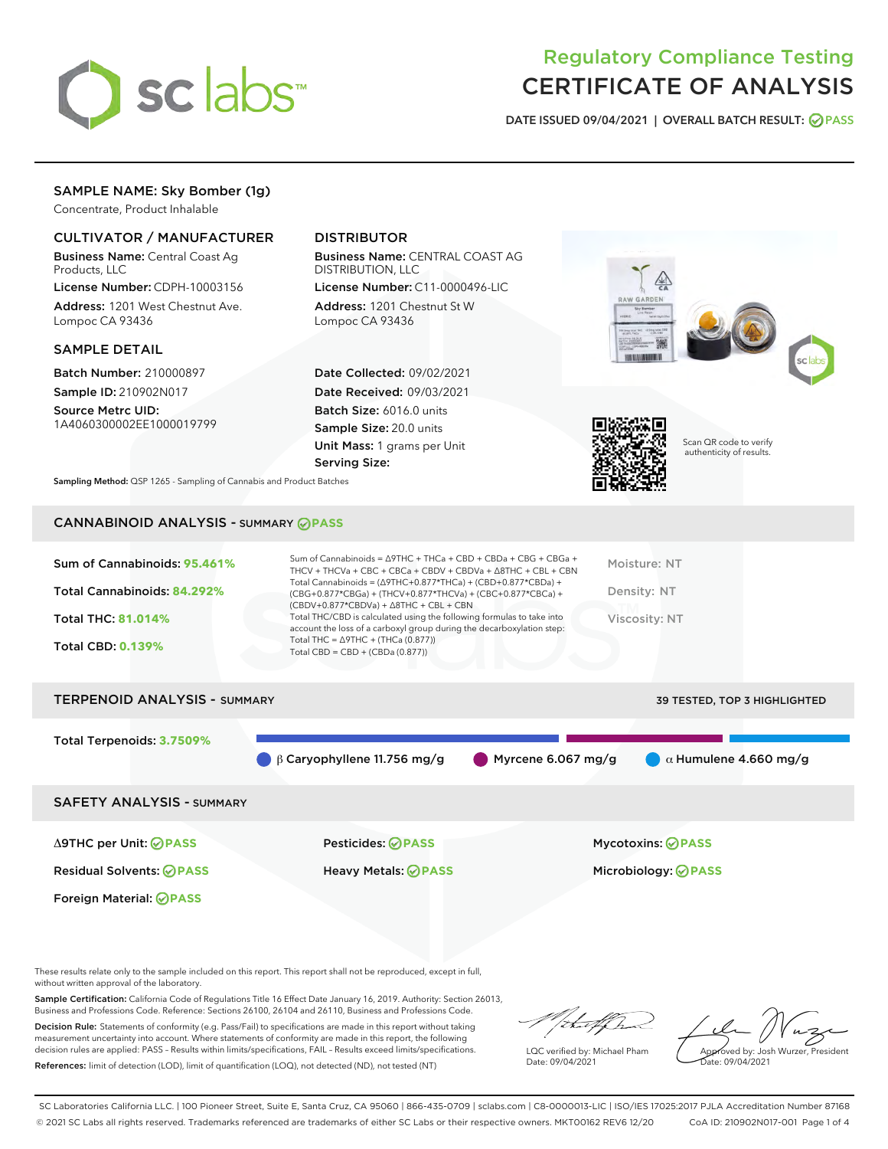

# Regulatory Compliance Testing CERTIFICATE OF ANALYSIS

DATE ISSUED 09/04/2021 | OVERALL BATCH RESULT: @ PASS

# SAMPLE NAME: Sky Bomber (1g)

Concentrate, Product Inhalable

## CULTIVATOR / MANUFACTURER

Business Name: Central Coast Ag Products, LLC

License Number: CDPH-10003156 Address: 1201 West Chestnut Ave. Lompoc CA 93436

#### SAMPLE DETAIL

Batch Number: 210000897 Sample ID: 210902N017

Source Metrc UID: 1A4060300002EE1000019799

# DISTRIBUTOR

Business Name: CENTRAL COAST AG DISTRIBUTION, LLC

License Number: C11-0000496-LIC Address: 1201 Chestnut St W Lompoc CA 93436

Date Collected: 09/02/2021 Date Received: 09/03/2021 Batch Size: 6016.0 units Sample Size: 20.0 units Unit Mass: 1 grams per Unit Serving Size:





Scan QR code to verify authenticity of results.

Sampling Method: QSP 1265 - Sampling of Cannabis and Product Batches

# CANNABINOID ANALYSIS - SUMMARY **PASS**

| Total Cannabinoids = $(\Delta$ 9THC+0.877*THCa) + (CBD+0.877*CBDa) +<br>Total Cannabinoids: 84.292%<br>Density: NT<br>(CBG+0.877*CBGa) + (THCV+0.877*THCVa) + (CBC+0.877*CBCa) +<br>$(CBDV+0.877*CBDVa) + \Delta 8THC + CBL + CBN$<br>Total THC/CBD is calculated using the following formulas to take into<br><b>Total THC: 81.014%</b><br>Viscosity: NT<br>account the loss of a carboxyl group during the decarboxylation step:<br>Total THC = $\triangle$ 9THC + (THCa (0.877))<br><b>Total CBD: 0.139%</b><br>Total CBD = $CBD + (CBDa (0.877))$ | Sum of Cannabinoids: 95.461% | Sum of Cannabinoids = $\triangle$ 9THC + THCa + CBD + CBDa + CBG + CBGa +<br>THCV + THCVa + CBC + CBCa + CBDV + CBDVa + $\Delta$ 8THC + CBL + CBN | Moisture: NT |
|-------------------------------------------------------------------------------------------------------------------------------------------------------------------------------------------------------------------------------------------------------------------------------------------------------------------------------------------------------------------------------------------------------------------------------------------------------------------------------------------------------------------------------------------------------|------------------------------|---------------------------------------------------------------------------------------------------------------------------------------------------|--------------|
|                                                                                                                                                                                                                                                                                                                                                                                                                                                                                                                                                       |                              |                                                                                                                                                   |              |
|                                                                                                                                                                                                                                                                                                                                                                                                                                                                                                                                                       |                              |                                                                                                                                                   |              |
|                                                                                                                                                                                                                                                                                                                                                                                                                                                                                                                                                       |                              |                                                                                                                                                   |              |

# TERPENOID ANALYSIS - SUMMARY 39 TESTED, TOP 3 HIGHLIGHTED Total Terpenoids: **3.7509%** β Caryophyllene 11.756 mg/g **α** Myrcene 6.067 mg/g **α** α Humulene 4.660 mg/g SAFETY ANALYSIS - SUMMARY

Foreign Material: **PASS**

Δ9THC per Unit: **PASS** Pesticides: **PASS** Mycotoxins: **PASS**

Residual Solvents: **PASS** Heavy Metals: **PASS** Microbiology: **PASS**

These results relate only to the sample included on this report. This report shall not be reproduced, except in full, without written approval of the laboratory.

Sample Certification: California Code of Regulations Title 16 Effect Date January 16, 2019. Authority: Section 26013, Business and Professions Code. Reference: Sections 26100, 26104 and 26110, Business and Professions Code.

Decision Rule: Statements of conformity (e.g. Pass/Fail) to specifications are made in this report without taking measurement uncertainty into account. Where statements of conformity are made in this report, the following decision rules are applied: PASS – Results within limits/specifications, FAIL – Results exceed limits/specifications. References: limit of detection (LOD), limit of quantification (LOQ), not detected (ND), not tested (NT)

that f(h

LQC verified by: Michael Pham Date: 09/04/2021

Approved by: Josh Wurzer, President ate: 09/04/2021

SC Laboratories California LLC. | 100 Pioneer Street, Suite E, Santa Cruz, CA 95060 | 866-435-0709 | sclabs.com | C8-0000013-LIC | ISO/IES 17025:2017 PJLA Accreditation Number 87168 © 2021 SC Labs all rights reserved. Trademarks referenced are trademarks of either SC Labs or their respective owners. MKT00162 REV6 12/20 CoA ID: 210902N017-001 Page 1 of 4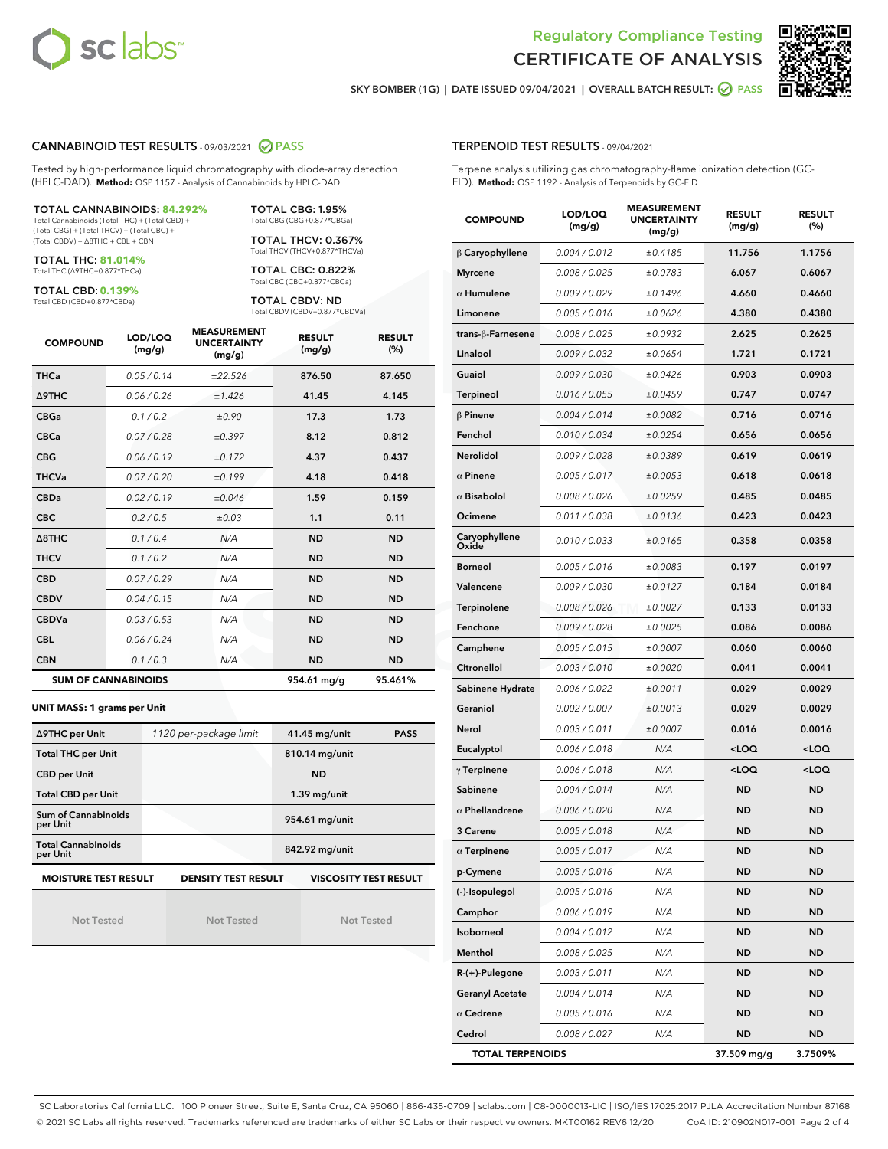



SKY BOMBER (1G) | DATE ISSUED 09/04/2021 | OVERALL BATCH RESULT: @ PASS

#### CANNABINOID TEST RESULTS - 09/03/2021 2 PASS

Tested by high-performance liquid chromatography with diode-array detection (HPLC-DAD). **Method:** QSP 1157 - Analysis of Cannabinoids by HPLC-DAD

#### TOTAL CANNABINOIDS: **84.292%**

Total Cannabinoids (Total THC) + (Total CBD) + (Total CBG) + (Total THCV) + (Total CBC) + (Total CBDV) + ∆8THC + CBL + CBN

TOTAL THC: **81.014%** Total THC (∆9THC+0.877\*THCa)

TOTAL CBD: **0.139%**

Total CBD (CBD+0.877\*CBDa)

TOTAL CBG: 1.95% Total CBG (CBG+0.877\*CBGa)

TOTAL THCV: 0.367% Total THCV (THCV+0.877\*THCVa)

TOTAL CBC: 0.822% Total CBC (CBC+0.877\*CBCa)

TOTAL CBDV: ND Total CBDV (CBDV+0.877\*CBDVa)

| <b>COMPOUND</b>  | LOD/LOQ<br>(mg/g)          | <b>MEASUREMENT</b><br><b>UNCERTAINTY</b><br>(mg/g) | <b>RESULT</b><br>(mg/g) | <b>RESULT</b><br>(%) |
|------------------|----------------------------|----------------------------------------------------|-------------------------|----------------------|
| <b>THCa</b>      | 0.05/0.14                  | ±22.526                                            | 876.50                  | 87.650               |
| <b>A9THC</b>     | 0.06 / 0.26                | ±1.426                                             | 41.45                   | 4.145                |
| <b>CBGa</b>      | 0.1/0.2                    | ±0.90                                              | 17.3                    | 1.73                 |
| <b>CBCa</b>      | 0.07 / 0.28                | ±0.397                                             | 8.12                    | 0.812                |
| <b>CBG</b>       | 0.06/0.19                  | ±0.172                                             | 4.37                    | 0.437                |
| <b>THCVa</b>     | 0.07/0.20                  | ±0.199                                             | 4.18                    | 0.418                |
| <b>CBDa</b>      | 0.02/0.19                  | ±0.046                                             | 1.59                    | 0.159                |
| <b>CBC</b>       | 0.2 / 0.5                  | $\pm 0.03$                                         | 1.1                     | 0.11                 |
| $\triangle$ 8THC | 0.1/0.4                    | N/A                                                | <b>ND</b>               | <b>ND</b>            |
| <b>THCV</b>      | 0.1/0.2                    | N/A                                                | <b>ND</b>               | <b>ND</b>            |
| <b>CBD</b>       | 0.07/0.29                  | N/A                                                | <b>ND</b>               | <b>ND</b>            |
| <b>CBDV</b>      | 0.04 / 0.15                | N/A                                                | <b>ND</b>               | <b>ND</b>            |
| <b>CBDVa</b>     | 0.03/0.53                  | N/A                                                | <b>ND</b>               | <b>ND</b>            |
| <b>CBL</b>       | 0.06 / 0.24                | N/A                                                | <b>ND</b>               | <b>ND</b>            |
| <b>CBN</b>       | 0.1/0.3                    | N/A                                                | <b>ND</b>               | <b>ND</b>            |
|                  | <b>SUM OF CANNABINOIDS</b> |                                                    | 954.61 mg/g             | 95.461%              |

#### **UNIT MASS: 1 grams per Unit**

| ∆9THC per Unit                        | 1120 per-package limit     | 41.45 mg/unit<br><b>PASS</b> |
|---------------------------------------|----------------------------|------------------------------|
| <b>Total THC per Unit</b>             |                            | 810.14 mg/unit               |
| <b>CBD per Unit</b>                   |                            | <b>ND</b>                    |
| <b>Total CBD per Unit</b>             |                            | $1.39$ mg/unit               |
| Sum of Cannabinoids<br>per Unit       |                            | 954.61 mg/unit               |
| <b>Total Cannabinoids</b><br>per Unit |                            | 842.92 mg/unit               |
| <b>MOISTURE TEST RESULT</b>           | <b>DENSITY TEST RESULT</b> | <b>VISCOSITY TEST RESULT</b> |

Not Tested

Not Tested

Not Tested

#### TERPENOID TEST RESULTS - 09/04/2021

Terpene analysis utilizing gas chromatography-flame ionization detection (GC-FID). **Method:** QSP 1192 - Analysis of Terpenoids by GC-FID

| <b>COMPOUND</b>         | LOD/LOQ<br>(mg/g) | <b>MEASUREMENT</b><br><b>UNCERTAINTY</b><br>(mg/g) | <b>RESULT</b><br>(mg/g)                         | <b>RESULT</b><br>(%) |
|-------------------------|-------------------|----------------------------------------------------|-------------------------------------------------|----------------------|
| $\beta$ Caryophyllene   | 0.004 / 0.012     | ±0.4185                                            | 11.756                                          | 1.1756               |
| <b>Myrcene</b>          | 0.008 / 0.025     | ±0.0783                                            | 6.067                                           | 0.6067               |
| $\alpha$ Humulene       | 0.009/0.029       | ±0.1496                                            | 4.660                                           | 0.4660               |
| Limonene                | 0.005 / 0.016     | ±0.0626                                            | 4.380                                           | 0.4380               |
| trans-ß-Farnesene       | 0.008 / 0.025     | ±0.0932                                            | 2.625                                           | 0.2625               |
| Linalool                | 0.009 / 0.032     | ±0.0654                                            | 1.721                                           | 0.1721               |
| Guaiol                  | 0.009 / 0.030     | ±0.0426                                            | 0.903                                           | 0.0903               |
| Terpineol               | 0.016 / 0.055     | ±0.0459                                            | 0.747                                           | 0.0747               |
| $\beta$ Pinene          | 0.004 / 0.014     | ±0.0082                                            | 0.716                                           | 0.0716               |
| Fenchol                 | 0.010 / 0.034     | ±0.0254                                            | 0.656                                           | 0.0656               |
| <b>Nerolidol</b>        | 0.009 / 0.028     | ±0.0389                                            | 0.619                                           | 0.0619               |
| $\alpha$ Pinene         | 0.005 / 0.017     | ±0.0053                                            | 0.618                                           | 0.0618               |
| $\alpha$ Bisabolol      | 0.008 / 0.026     | ±0.0259                                            | 0.485                                           | 0.0485               |
| Ocimene                 | 0.011 / 0.038     | ±0.0136                                            | 0.423                                           | 0.0423               |
| Caryophyllene<br>Oxide  | 0.010 / 0.033     | ±0.0165                                            | 0.358                                           | 0.0358               |
| <b>Borneol</b>          | 0.005 / 0.016     | ±0.0083                                            | 0.197                                           | 0.0197               |
| Valencene               | 0.009 / 0.030     | ±0.0127                                            | 0.184                                           | 0.0184               |
| Terpinolene             | 0.008 / 0.026     | ±0.0027                                            | 0.133                                           | 0.0133               |
| Fenchone                | 0.009 / 0.028     | ±0.0025                                            | 0.086                                           | 0.0086               |
| Camphene                | 0.005 / 0.015     | ±0.0007                                            | 0.060                                           | 0.0060               |
| Citronellol             | 0.003 / 0.010     | ±0.0020                                            | 0.041                                           | 0.0041               |
| Sabinene Hydrate        | 0.006 / 0.022     | ±0.0011                                            | 0.029                                           | 0.0029               |
| Geraniol                | 0.002 / 0.007     | ±0.0013                                            | 0.029                                           | 0.0029               |
| Nerol                   | 0.003 / 0.011     | ±0.0007                                            | 0.016                                           | 0.0016               |
| Eucalyptol              | 0.006 / 0.018     | N/A                                                | <loq< th=""><th><loq< th=""></loq<></th></loq<> | <loq< th=""></loq<>  |
| $\gamma$ Terpinene      | 0.006 / 0.018     | N/A                                                | <loq< th=""><th><loq< th=""></loq<></th></loq<> | <loq< th=""></loq<>  |
| Sabinene                | 0.004 / 0.014     | N/A                                                | ND                                              | <b>ND</b>            |
| $\alpha$ Phellandrene   | 0.006 / 0.020     | N/A                                                | <b>ND</b>                                       | <b>ND</b>            |
| 3 Carene                | 0.005 / 0.018     | N/A                                                | ND                                              | <b>ND</b>            |
| $\alpha$ Terpinene      | 0.005 / 0.017     | N/A                                                | <b>ND</b>                                       | <b>ND</b>            |
| p-Cymene                | 0.005 / 0.016     | N/A                                                | ND                                              | <b>ND</b>            |
| (-)-Isopulegol          | 0.005 / 0.016     | N/A                                                | ND                                              | ND                   |
| Camphor                 | 0.006 / 0.019     | N/A                                                | ND                                              | <b>ND</b>            |
| Isoborneol              | 0.004 / 0.012     | N/A                                                | <b>ND</b>                                       | <b>ND</b>            |
| Menthol                 | 0.008 / 0.025     | N/A                                                | ND                                              | ND                   |
| R-(+)-Pulegone          | 0.003 / 0.011     | N/A                                                | ND                                              | ND                   |
| <b>Geranyl Acetate</b>  | 0.004 / 0.014     | N/A                                                | ND                                              | <b>ND</b>            |
| $\alpha$ Cedrene        | 0.005 / 0.016     | N/A                                                | ND                                              | ND                   |
| Cedrol                  | 0.008 / 0.027     | N/A                                                | <b>ND</b>                                       | <b>ND</b>            |
| <b>TOTAL TERPENOIDS</b> |                   |                                                    | 37.509 mg/g                                     | 3.7509%              |

SC Laboratories California LLC. | 100 Pioneer Street, Suite E, Santa Cruz, CA 95060 | 866-435-0709 | sclabs.com | C8-0000013-LIC | ISO/IES 17025:2017 PJLA Accreditation Number 87168 © 2021 SC Labs all rights reserved. Trademarks referenced are trademarks of either SC Labs or their respective owners. MKT00162 REV6 12/20 CoA ID: 210902N017-001 Page 2 of 4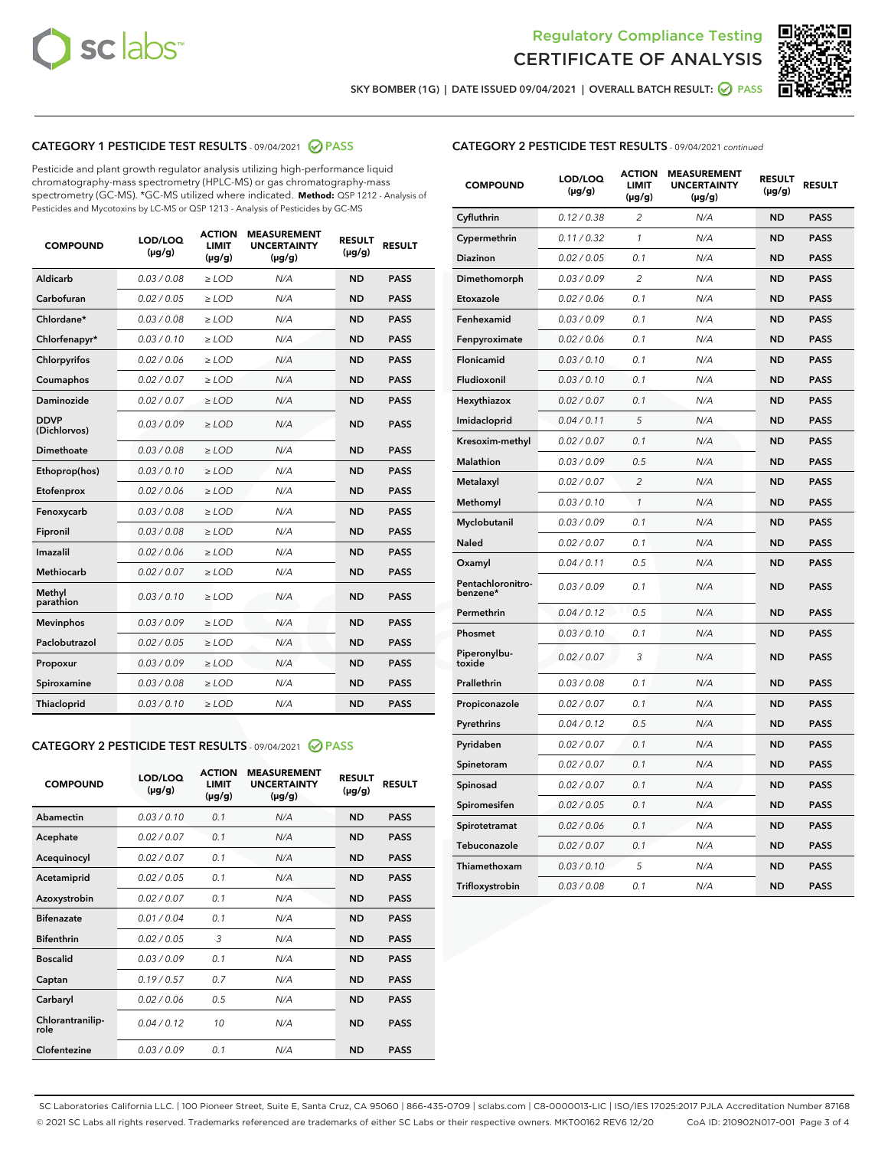



SKY BOMBER (1G) | DATE ISSUED 09/04/2021 | OVERALL BATCH RESULT: 2 PASS

## CATEGORY 1 PESTICIDE TEST RESULTS - 09/04/2021 2 PASS

Pesticide and plant growth regulator analysis utilizing high-performance liquid chromatography-mass spectrometry (HPLC-MS) or gas chromatography-mass spectrometry (GC-MS). \*GC-MS utilized where indicated. **Method:** QSP 1212 - Analysis of Pesticides and Mycotoxins by LC-MS or QSP 1213 - Analysis of Pesticides by GC-MS

| <b>COMPOUND</b>             | LOD/LOQ<br>$(\mu g/g)$ | <b>ACTION</b><br><b>LIMIT</b><br>$(\mu g/g)$ | <b>MEASUREMENT</b><br><b>UNCERTAINTY</b><br>$(\mu g/g)$ | <b>RESULT</b><br>$(\mu g/g)$ | <b>RESULT</b> |
|-----------------------------|------------------------|----------------------------------------------|---------------------------------------------------------|------------------------------|---------------|
| Aldicarb                    | 0.03/0.08              | $>$ LOD                                      | N/A                                                     | <b>ND</b>                    | <b>PASS</b>   |
| Carbofuran                  | 0.02 / 0.05            | $\ge$ LOD                                    | N/A                                                     | <b>ND</b>                    | <b>PASS</b>   |
| Chlordane*                  | 0.03/0.08              | $>$ LOD                                      | N/A                                                     | <b>ND</b>                    | <b>PASS</b>   |
| Chlorfenapyr*               | 0.03/0.10              | $\ge$ LOD                                    | N/A                                                     | <b>ND</b>                    | <b>PASS</b>   |
| Chlorpyrifos                | 0.02 / 0.06            | $\ge$ LOD                                    | N/A                                                     | <b>ND</b>                    | <b>PASS</b>   |
| Coumaphos                   | 0.02 / 0.07            | $\ge$ LOD                                    | N/A                                                     | <b>ND</b>                    | <b>PASS</b>   |
| Daminozide                  | 0.02 / 0.07            | $\ge$ LOD                                    | N/A                                                     | <b>ND</b>                    | <b>PASS</b>   |
| <b>DDVP</b><br>(Dichlorvos) | 0.03/0.09              | $\ge$ LOD                                    | N/A                                                     | <b>ND</b>                    | <b>PASS</b>   |
| <b>Dimethoate</b>           | 0.03 / 0.08            | $\ge$ LOD                                    | N/A                                                     | <b>ND</b>                    | <b>PASS</b>   |
| Ethoprop(hos)               | 0.03/0.10              | $\ge$ LOD                                    | N/A                                                     | <b>ND</b>                    | <b>PASS</b>   |
| Etofenprox                  | 0.02 / 0.06            | $\ge$ LOD                                    | N/A                                                     | <b>ND</b>                    | <b>PASS</b>   |
| Fenoxycarb                  | 0.03 / 0.08            | $\ge$ LOD                                    | N/A                                                     | <b>ND</b>                    | <b>PASS</b>   |
| Fipronil                    | 0.03/0.08              | $>$ LOD                                      | N/A                                                     | <b>ND</b>                    | <b>PASS</b>   |
| Imazalil                    | 0.02 / 0.06            | $\ge$ LOD                                    | N/A                                                     | <b>ND</b>                    | <b>PASS</b>   |
| Methiocarb                  | 0.02 / 0.07            | $\ge$ LOD                                    | N/A                                                     | <b>ND</b>                    | <b>PASS</b>   |
| Methyl<br>parathion         | 0.03/0.10              | $\ge$ LOD                                    | N/A                                                     | <b>ND</b>                    | <b>PASS</b>   |
| <b>Mevinphos</b>            | 0.03/0.09              | $\ge$ LOD                                    | N/A                                                     | <b>ND</b>                    | <b>PASS</b>   |
| Paclobutrazol               | 0.02 / 0.05            | $>$ LOD                                      | N/A                                                     | <b>ND</b>                    | <b>PASS</b>   |
| Propoxur                    | 0.03/0.09              | $\ge$ LOD                                    | N/A                                                     | <b>ND</b>                    | <b>PASS</b>   |
| Spiroxamine                 | 0.03 / 0.08            | $\ge$ LOD                                    | N/A                                                     | <b>ND</b>                    | <b>PASS</b>   |
| Thiacloprid                 | 0.03/0.10              | $\ge$ LOD                                    | N/A                                                     | <b>ND</b>                    | <b>PASS</b>   |

#### CATEGORY 2 PESTICIDE TEST RESULTS - 09/04/2021 @ PASS

| <b>COMPOUND</b>          | LOD/LOO<br>$(\mu g/g)$ | <b>ACTION</b><br>LIMIT<br>$(\mu g/g)$ | <b>MEASUREMENT</b><br><b>UNCERTAINTY</b><br>$(\mu g/g)$ | <b>RESULT</b><br>$(\mu g/g)$ | <b>RESULT</b> |  |
|--------------------------|------------------------|---------------------------------------|---------------------------------------------------------|------------------------------|---------------|--|
| Abamectin                | 0.03/0.10              | 0.1                                   | N/A                                                     | <b>ND</b>                    | <b>PASS</b>   |  |
| Acephate                 | 0.02/0.07              | 0.1                                   | N/A                                                     | <b>ND</b>                    | <b>PASS</b>   |  |
| Acequinocyl              | 0.02/0.07              | 0.1                                   | N/A                                                     | <b>ND</b>                    | <b>PASS</b>   |  |
| Acetamiprid              | 0.02 / 0.05            | 0.1                                   | N/A                                                     | <b>ND</b>                    | <b>PASS</b>   |  |
| Azoxystrobin             | 0.02/0.07              | 0.1                                   | N/A                                                     | <b>ND</b>                    | <b>PASS</b>   |  |
| <b>Bifenazate</b>        | 0.01 / 0.04            | 0.1                                   | N/A                                                     | <b>ND</b>                    | <b>PASS</b>   |  |
| <b>Bifenthrin</b>        | 0.02 / 0.05            | 3                                     | N/A                                                     | <b>ND</b>                    | <b>PASS</b>   |  |
| <b>Boscalid</b>          | 0.03/0.09              | 0.1                                   | N/A                                                     | <b>ND</b>                    | <b>PASS</b>   |  |
| Captan                   | 0.19/0.57              | 0.7                                   | N/A                                                     | <b>ND</b>                    | <b>PASS</b>   |  |
| Carbaryl                 | 0.02/0.06              | 0.5                                   | N/A                                                     | <b>ND</b>                    | <b>PASS</b>   |  |
| Chlorantranilip-<br>role | 0.04/0.12              | 10                                    | N/A                                                     | <b>ND</b>                    | <b>PASS</b>   |  |
| Clofentezine             | 0.03/0.09              | 0.1                                   | N/A                                                     | <b>ND</b>                    | <b>PASS</b>   |  |

| <b>CATEGORY 2 PESTICIDE TEST RESULTS</b> - 09/04/2021 continued |  |
|-----------------------------------------------------------------|--|
|-----------------------------------------------------------------|--|

| <b>COMPOUND</b>               | LOD/LOQ<br>(µg/g) | <b>ACTION</b><br>LIMIT<br>$(\mu g/g)$ | <b>MEASUREMENT</b><br><b>UNCERTAINTY</b><br>$(\mu g/g)$ | <b>RESULT</b><br>(µg/g) | <b>RESULT</b> |
|-------------------------------|-------------------|---------------------------------------|---------------------------------------------------------|-------------------------|---------------|
| Cyfluthrin                    | 0.12 / 0.38       | 2                                     | N/A                                                     | <b>ND</b>               | <b>PASS</b>   |
| Cypermethrin                  | 0.11 / 0.32       | $\mathcal{I}$                         | N/A                                                     | <b>ND</b>               | <b>PASS</b>   |
| Diazinon                      | 0.02 / 0.05       | 0.1                                   | N/A                                                     | <b>ND</b>               | <b>PASS</b>   |
| Dimethomorph                  | 0.03 / 0.09       | 2                                     | N/A                                                     | <b>ND</b>               | <b>PASS</b>   |
| Etoxazole                     | 0.02 / 0.06       | 0.1                                   | N/A                                                     | <b>ND</b>               | <b>PASS</b>   |
| Fenhexamid                    | 0.03 / 0.09       | 0.1                                   | N/A                                                     | <b>ND</b>               | <b>PASS</b>   |
| Fenpyroximate                 | 0.02 / 0.06       | 0.1                                   | N/A                                                     | <b>ND</b>               | <b>PASS</b>   |
| Flonicamid                    | 0.03 / 0.10       | 0.1                                   | N/A                                                     | <b>ND</b>               | <b>PASS</b>   |
| Fludioxonil                   | 0.03 / 0.10       | 0.1                                   | N/A                                                     | <b>ND</b>               | <b>PASS</b>   |
| Hexythiazox                   | 0.02 / 0.07       | 0.1                                   | N/A                                                     | <b>ND</b>               | <b>PASS</b>   |
| Imidacloprid                  | 0.04 / 0.11       | 5                                     | N/A                                                     | <b>ND</b>               | <b>PASS</b>   |
| Kresoxim-methyl               | 0.02 / 0.07       | 0.1                                   | N/A                                                     | <b>ND</b>               | <b>PASS</b>   |
| Malathion                     | 0.03 / 0.09       | 0.5                                   | N/A                                                     | <b>ND</b>               | <b>PASS</b>   |
| Metalaxyl                     | 0.02 / 0.07       | $\overline{c}$                        | N/A                                                     | <b>ND</b>               | <b>PASS</b>   |
| Methomyl                      | 0.03 / 0.10       | $\mathcal{I}$                         | N/A                                                     | <b>ND</b>               | <b>PASS</b>   |
| Myclobutanil                  | 0.03 / 0.09       | 0.1                                   | N/A                                                     | <b>ND</b>               | <b>PASS</b>   |
| Naled                         | 0.02 / 0.07       | 0.1                                   | N/A                                                     | <b>ND</b>               | <b>PASS</b>   |
| Oxamyl                        | 0.04 / 0.11       | 0.5                                   | N/A                                                     | <b>ND</b>               | <b>PASS</b>   |
| Pentachloronitro-<br>benzene* | 0.03/0.09         | 0.1                                   | N/A                                                     | <b>ND</b>               | <b>PASS</b>   |
| Permethrin                    | 0.04 / 0.12       | 0.5                                   | N/A                                                     | <b>ND</b>               | <b>PASS</b>   |
| Phosmet                       | 0.03 / 0.10       | 0.1                                   | N/A                                                     | <b>ND</b>               | <b>PASS</b>   |
| Piperonylbu-<br>toxide        | 0.02 / 0.07       | 3                                     | N/A                                                     | <b>ND</b>               | <b>PASS</b>   |
| Prallethrin                   | 0.03 / 0.08       | 0.1                                   | N/A                                                     | <b>ND</b>               | <b>PASS</b>   |
| Propiconazole                 | 0.02 / 0.07       | 0.1                                   | N/A                                                     | <b>ND</b>               | <b>PASS</b>   |
| Pyrethrins                    | 0.04 / 0.12       | 0.5                                   | N/A                                                     | <b>ND</b>               | <b>PASS</b>   |
| Pyridaben                     | 0.02 / 0.07       | 0.1                                   | N/A                                                     | <b>ND</b>               | <b>PASS</b>   |
| Spinetoram                    | 0.02 / 0.07       | 0.1                                   | N/A                                                     | <b>ND</b>               | <b>PASS</b>   |
| Spinosad                      | 0.02 / 0.07       | 0.1                                   | N/A                                                     | <b>ND</b>               | <b>PASS</b>   |
| Spiromesifen                  | 0.02 / 0.05       | 0.1                                   | N/A                                                     | <b>ND</b>               | <b>PASS</b>   |
| Spirotetramat                 | 0.02 / 0.06       | 0.1                                   | N/A                                                     | <b>ND</b>               | <b>PASS</b>   |
| Tebuconazole                  | 0.02 / 0.07       | 0.1                                   | N/A                                                     | <b>ND</b>               | <b>PASS</b>   |
| Thiamethoxam                  | 0.03 / 0.10       | 5                                     | N/A                                                     | <b>ND</b>               | <b>PASS</b>   |
| Trifloxystrobin               | 0.03 / 0.08       | 0.1                                   | N/A                                                     | <b>ND</b>               | <b>PASS</b>   |

SC Laboratories California LLC. | 100 Pioneer Street, Suite E, Santa Cruz, CA 95060 | 866-435-0709 | sclabs.com | C8-0000013-LIC | ISO/IES 17025:2017 PJLA Accreditation Number 87168 © 2021 SC Labs all rights reserved. Trademarks referenced are trademarks of either SC Labs or their respective owners. MKT00162 REV6 12/20 CoA ID: 210902N017-001 Page 3 of 4